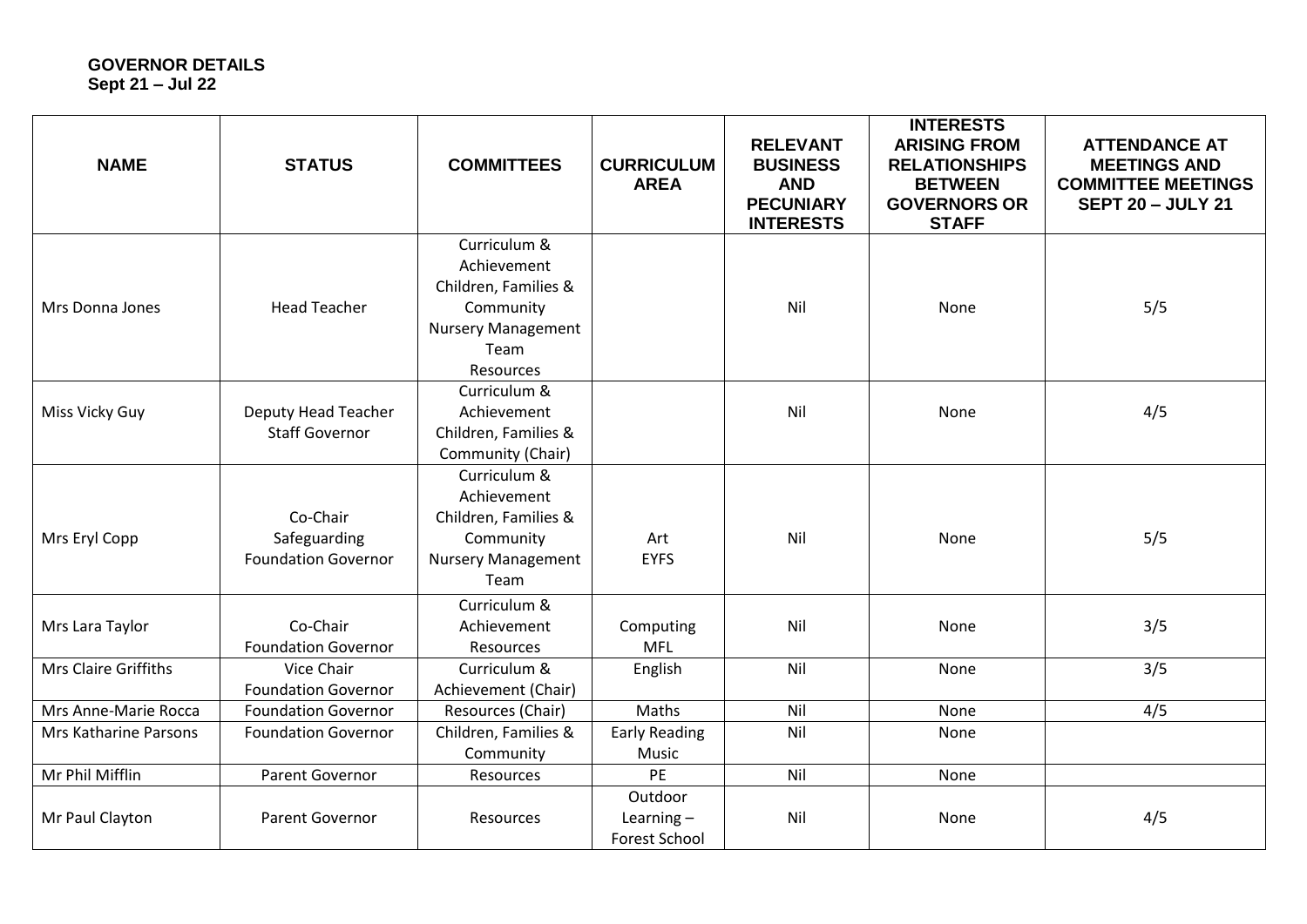## **GOVERNOR DETAILS Sept 21 – Jul 22**

| <b>NAME</b>           | <b>STATUS</b>                                          | <b>COMMITTEES</b>                                                                                                  | <b>CURRICULUM</b><br><b>AREA</b>                | <b>RELEVANT</b><br><b>BUSINESS</b><br><b>AND</b><br><b>PECUNIARY</b><br><b>INTERESTS</b> | <b>INTERESTS</b><br><b>ARISING FROM</b><br><b>RELATIONSHIPS</b><br><b>BETWEEN</b><br><b>GOVERNORS OR</b><br><b>STAFF</b> | <b>ATTENDANCE AT</b><br><b>MEETINGS AND</b><br><b>COMMITTEE MEETINGS</b><br><b>SEPT 20 - JULY 21</b> |
|-----------------------|--------------------------------------------------------|--------------------------------------------------------------------------------------------------------------------|-------------------------------------------------|------------------------------------------------------------------------------------------|--------------------------------------------------------------------------------------------------------------------------|------------------------------------------------------------------------------------------------------|
| Mrs Donna Jones       | <b>Head Teacher</b>                                    | Curriculum &<br>Achievement<br>Children, Families &<br>Community<br><b>Nursery Management</b><br>Team<br>Resources |                                                 | Nil                                                                                      | None                                                                                                                     | 5/5                                                                                                  |
| Miss Vicky Guy        | Deputy Head Teacher<br><b>Staff Governor</b>           | Curriculum &<br>Achievement<br>Children, Families &<br>Community (Chair)                                           |                                                 | Nil                                                                                      | None                                                                                                                     | 4/5                                                                                                  |
| Mrs Eryl Copp         | Co-Chair<br>Safeguarding<br><b>Foundation Governor</b> | Curriculum &<br>Achievement<br>Children, Families &<br>Community<br><b>Nursery Management</b><br>Team              | Art<br><b>EYFS</b>                              | Nil                                                                                      | None                                                                                                                     | 5/5                                                                                                  |
| Mrs Lara Taylor       | Co-Chair<br><b>Foundation Governor</b>                 | Curriculum &<br>Achievement<br>Resources                                                                           | Computing<br><b>MFL</b>                         | Nil                                                                                      | None                                                                                                                     | 3/5                                                                                                  |
| Mrs Claire Griffiths  | Vice Chair<br><b>Foundation Governor</b>               | Curriculum &<br>Achievement (Chair)                                                                                | English                                         | Nil                                                                                      | None                                                                                                                     | 3/5                                                                                                  |
| Mrs Anne-Marie Rocca  | <b>Foundation Governor</b>                             | Resources (Chair)                                                                                                  | Maths                                           | Nil                                                                                      | None                                                                                                                     | 4/5                                                                                                  |
| Mrs Katharine Parsons | <b>Foundation Governor</b>                             | Children, Families &<br>Community                                                                                  | <b>Early Reading</b><br>Music                   | Nil                                                                                      | None                                                                                                                     |                                                                                                      |
| Mr Phil Mifflin       | <b>Parent Governor</b>                                 | Resources                                                                                                          | PE                                              | Nil                                                                                      | None                                                                                                                     |                                                                                                      |
| Mr Paul Clayton       | <b>Parent Governor</b>                                 | Resources                                                                                                          | Outdoor<br>Learning $-$<br><b>Forest School</b> | Nil                                                                                      | None                                                                                                                     | 4/5                                                                                                  |